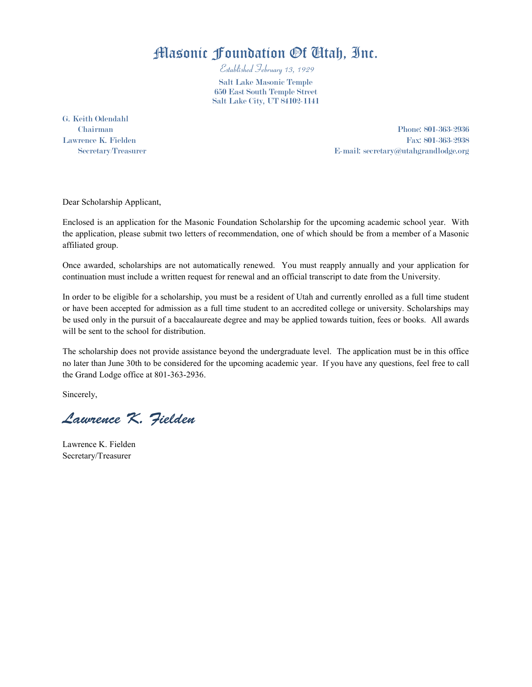## Masonic Foundation Of Utah, Inc.

Established February 13, 1929

Salt Lake Masonic Temple 650 East South Temple Street Salt Lake City, UT 84102-1141

G. Keith Odendahl

Chairman Phone: 801-363-2936 Lawrence K. Fielden Fax: 801-363-2938 Secretary/Treasurer E-mail: secretary@utahgrandlodge.org

Dear Scholarship Applicant,

Enclosed is an application for the Masonic Foundation Scholarship for the upcoming academic school year. With the application, please submit two letters of recommendation, one of which should be from a member of a Masonic affiliated group.

Once awarded, scholarships are not automatically renewed. You must reapply annually and your application for continuation must include a written request for renewal and an official transcript to date from the University.

In order to be eligible for a scholarship, you must be a resident of Utah and currently enrolled as a full time student or have been accepted for admission as a full time student to an accredited college or university. Scholarships may be used only in the pursuit of a baccalaureate degree and may be applied towards tuition, fees or books. All awards will be sent to the school for distribution.

The scholarship does not provide assistance beyond the undergraduate level. The application must be in this office no later than June 30th to be considered for the upcoming academic year. If you have any questions, feel free to call the Grand Lodge office at 801-363-2936.

Sincerely,

Lawrence K. Fielden

Lawrence K. Fielden Secretary/Treasurer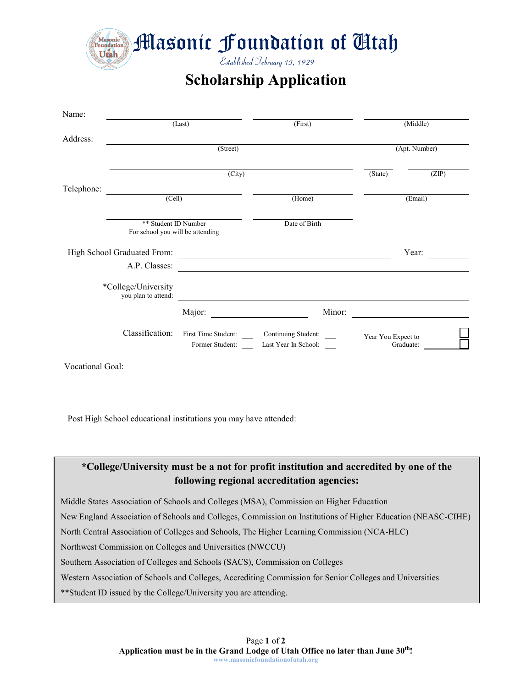Masonic Foundation of Cltah

Established February 13, 1929

**Scholarship Application**

| Name:                   |                                                          |                 |                                                                                |                                 |         |
|-------------------------|----------------------------------------------------------|-----------------|--------------------------------------------------------------------------------|---------------------------------|---------|
|                         |                                                          | (Last)          |                                                                                | (Middle)                        |         |
| Address:                |                                                          | (Street)        |                                                                                | (Apt. Number)                   |         |
|                         | (City)                                                   |                 |                                                                                | (State)                         | (ZIP)   |
| Telephone:              | (Cell)                                                   |                 | (Home)                                                                         |                                 | (Email) |
|                         | ** Student ID Number<br>For school you will be attending |                 | Date of Birth                                                                  |                                 |         |
|                         | High School Graduated From:<br>A.P. Classes:             |                 | <u> 1989 - Andrea Andrew Maria (h. 1989).</u>                                  |                                 | Year:   |
|                         | *College/University<br>you plan to attend:               |                 |                                                                                |                                 |         |
|                         |                                                          | Major:          | Minor:                                                                         |                                 |         |
|                         | Classification:                                          | Former Student: | First Time Student: ________ Continuing Student: _____<br>Last Year In School: | Year You Expect to<br>Graduate: |         |
| <b>Vocational Goal:</b> |                                                          |                 |                                                                                |                                 |         |

Post High School educational institutions you may have attended:



Middle States Association of Schools and Colleges (MSA), Commission on Higher Education

New England Association of Schools and Colleges, Commission on Institutions of Higher Education (NEASC-CIHE)

North Central Association of Colleges and Schools, The Higher Learning Commission (NCA-HLC)

Northwest Commission on Colleges and Universities (NWCCU)

Southern Association of Colleges and Schools (SACS), Commission on Colleges

Western Association of Schools and Colleges, Accrediting Commission for Senior Colleges and Universities

\*\*Student ID issued by the College/University you are attending.